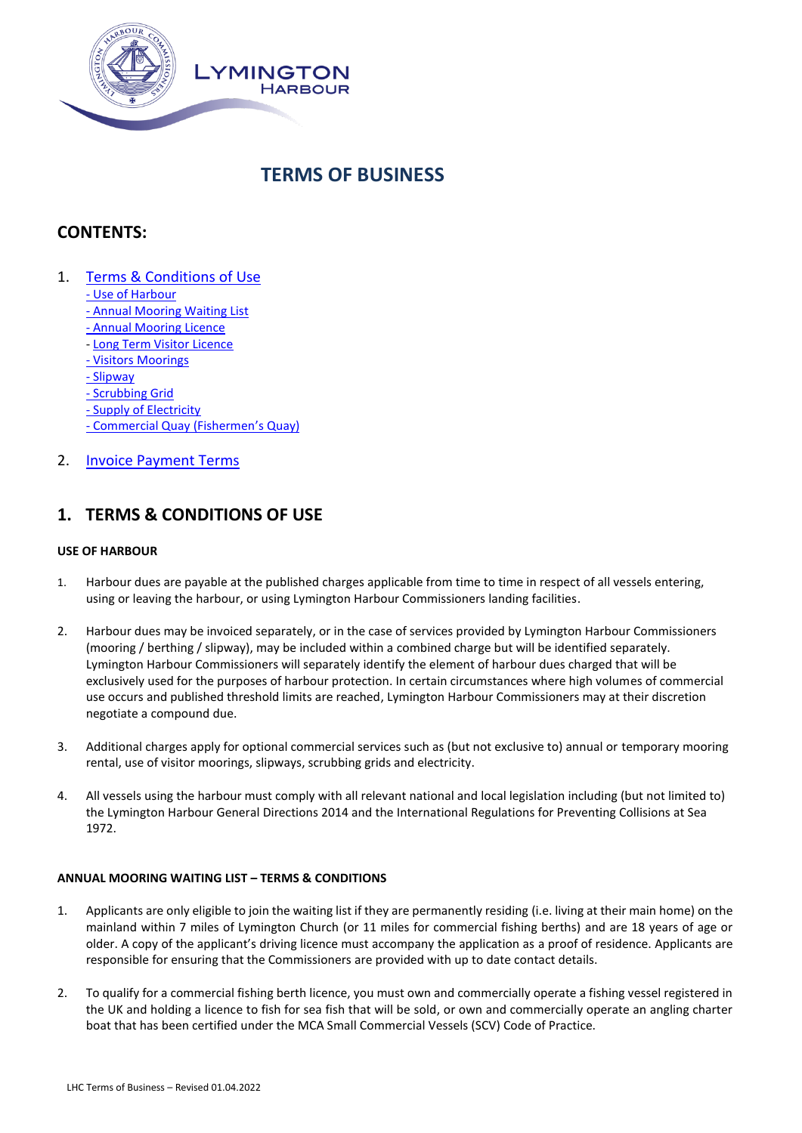

# **TERMS OF BUSINESS**

## **CONTENTS:**

- 1. [Terms & Conditions](#page-0-0) of Use
	- [Use of Harbour](#page-0-1)
	- [Annual Mooring Waiting List](#page-0-2)
	- [Annual Mooring](#page-1-0) Licence
	- [Long Term Visitor](#page-3-0) Licence
	- Visitors Moorings
	- [Slipway](#page-5-0)
	- [Scrubbing Grid](#page-6-0)
	- [Supply of Electricity](#page-6-1)
	- [Commercial Quay \(Fishermen](#page-7-0)'s Quay)
- 2. **[Invoice Payment Terms](#page-8-0)**

## <span id="page-0-0"></span>**1. TERMS & CONDITIONS OF USE**

## <span id="page-0-1"></span>**USE OF HARBOUR**

- 1. Harbour dues are payable at the published charges applicable from time to time in respect of all vessels entering, using or leaving the harbour, or using Lymington Harbour Commissioners landing facilities.
- 2. Harbour dues may be invoiced separately, or in the case of services provided by Lymington Harbour Commissioners (mooring / berthing / slipway), may be included within a combined charge but will be identified separately. Lymington Harbour Commissioners will separately identify the element of harbour dues charged that will be exclusively used for the purposes of harbour protection. In certain circumstances where high volumes of commercial use occurs and published threshold limits are reached, Lymington Harbour Commissioners may at their discretion negotiate a compound due.
- 3. Additional charges apply for optional commercial services such as (but not exclusive to) annual or temporary mooring rental, use of visitor moorings, slipways, scrubbing grids and electricity.
- 4. All vessels using the harbour must comply with all relevant national and local legislation including (but not limited to) the Lymington Harbour General Directions 2014 and the International Regulations for Preventing Collisions at Sea 1972.

## <span id="page-0-2"></span>**ANNUAL MOORING WAITING LIST – TERMS & CONDITIONS**

- 1. Applicants are only eligible to join the waiting list if they are permanently residing (i.e. living at their main home) on the mainland within 7 miles of Lymington Church (or 11 miles for commercial fishing berths) and are 18 years of age or older. A copy of the applicant's driving licence must accompany the application as a proof of residence. Applicants are responsible for ensuring that the Commissioners are provided with up to date contact details.
- 2. To qualify for a commercial fishing berth licence, you must own and commercially operate a fishing vessel registered in the UK and holding a licence to fish for sea fish that will be sold, or own and commercially operate an angling charter boat that has been certified under the MCA Small Commercial Vessels (SCV) Code of Practice.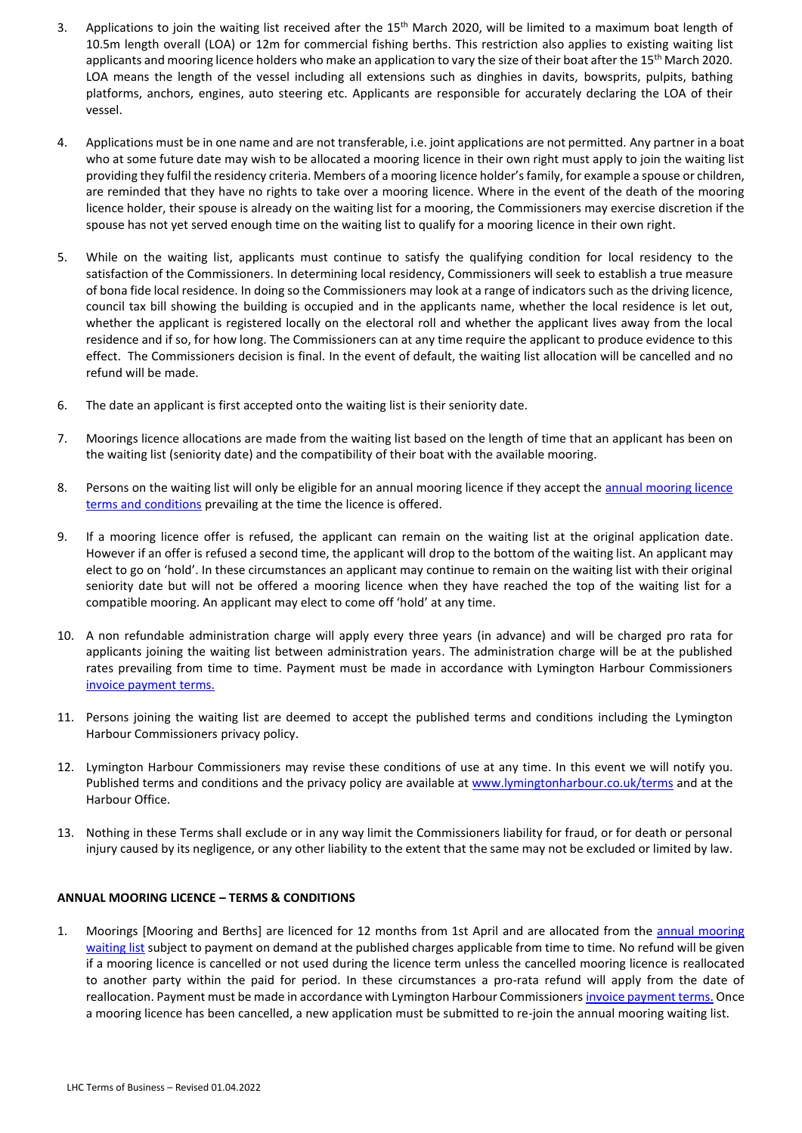- 3. Applications to join the waiting list received after the 15<sup>th</sup> March 2020, will be limited to a maximum boat length of 10.5m length overall (LOA) or 12m for commercial fishing berths. This restriction also applies to existing waiting list applicants and mooring licence holders who make an application to vary the size of their boat after the 15<sup>th</sup> March 2020. LOA means the length of the vessel including all extensions such as dinghies in davits, bowsprits, pulpits, bathing platforms, anchors, engines, auto steering etc. Applicants are responsible for accurately declaring the LOA of their vessel.
- 4. Applications must be in one name and are not transferable, i.e. joint applications are not permitted. Any partner in a boat who at some future date may wish to be allocated a mooring licence in their own right must apply to join the waiting list providing they fulfil the residency criteria. Members of a mooring licence holder's family, for example a spouse or children, are reminded that they have no rights to take over a mooring licence. Where in the event of the death of the mooring licence holder, their spouse is already on the waiting list for a mooring, the Commissioners may exercise discretion if the spouse has not yet served enough time on the waiting list to qualify for a mooring licence in their own right.
- 5. While on the waiting list, applicants must continue to satisfy the qualifying condition for local residency to the satisfaction of the Commissioners. In determining local residency, Commissioners will seek to establish a true measure of bona fide local residence. In doing so the Commissioners may look at a range of indicators such as the driving licence, council tax bill showing the building is occupied and in the applicants name, whether the local residence is let out, whether the applicant is registered locally on the electoral roll and whether the applicant lives away from the local residence and if so, for how long. The Commissioners can at any time require the applicant to produce evidence to this effect. The Commissioners decision is final. In the event of default, the waiting list allocation will be cancelled and no refund will be made.
- 6. The date an applicant is first accepted onto the waiting list is their seniority date.
- 7. Moorings licence allocations are made from the waiting list based on the length of time that an applicant has been on the waiting list (seniority date) and the compatibility of their boat with the available mooring.
- 8. Persons on the waiting list will only be eligible for an [annual mooring licence](#page-1-0) if they accept the annual mooring licence [terms and conditions](#page-1-0) prevailing at the time the licence is offered.
- 9. If a mooring licence offer is refused, the applicant can remain on the waiting list at the original application date. However if an offer is refused a second time, the applicant will drop to the bottom of the waiting list. An applicant may elect to go on 'hold'. In these circumstances an applicant may continue to remain on the waiting list with their original seniority date but will not be offered a mooring licence when they have reached the top of the waiting list for a compatible mooring. An applicant may elect to come off 'hold' at any time.
- 10. A non refundable administration charge will apply every three years (in advance) and will be charged pro rata for applicants joining the waiting list between administration years. The administration charge will be at the published rates prevailing from time to time. Payment must be made in accordance with Lymington Harbour Commissioners [invoice payment](#page-8-0) terms.
- 11. Persons joining the waiting list are deemed to accept the published terms and conditions including the Lymington Harbour Commissioners privacy policy.
- 12. Lymington Harbour Commissioners may revise these conditions of use at any time. In this event we will notify you. Published terms and conditions and the privacy policy are available a[t www.lymingtonharbour.co.uk/terms](http://www.lymingtonharbour.co.uk/terms) and at the Harbour Office.
- 13. Nothing in these Terms shall exclude or in any way limit the Commissioners liability for fraud, or for death or personal injury caused by its negligence, or any other liability to the extent that the same may not be excluded or limited by law.

#### <span id="page-1-0"></span>**ANNUAL MOORING LICENCE – TERMS & CONDITIONS**

1. Moorings [Mooring and Berths] are licenced for 12 months from 1st April and are allocated from the **annual mooring** [waiting list](#page-0-2) subject to payment on demand at the published charges applicable from time to time. No refund will be given if a mooring licence is cancelled or not used during the licence term unless the cancelled mooring licence is reallocated to another party within the paid for period. In these circumstances a pro-rata refund will apply from the date of reallocation. Payment must be made in accordance with Lymington Harbour Commissioner[s invoice payment terms.](#page-8-0) Once a mooring licence has been cancelled, a new application must be submitted to re-join the annual mooring waiting list.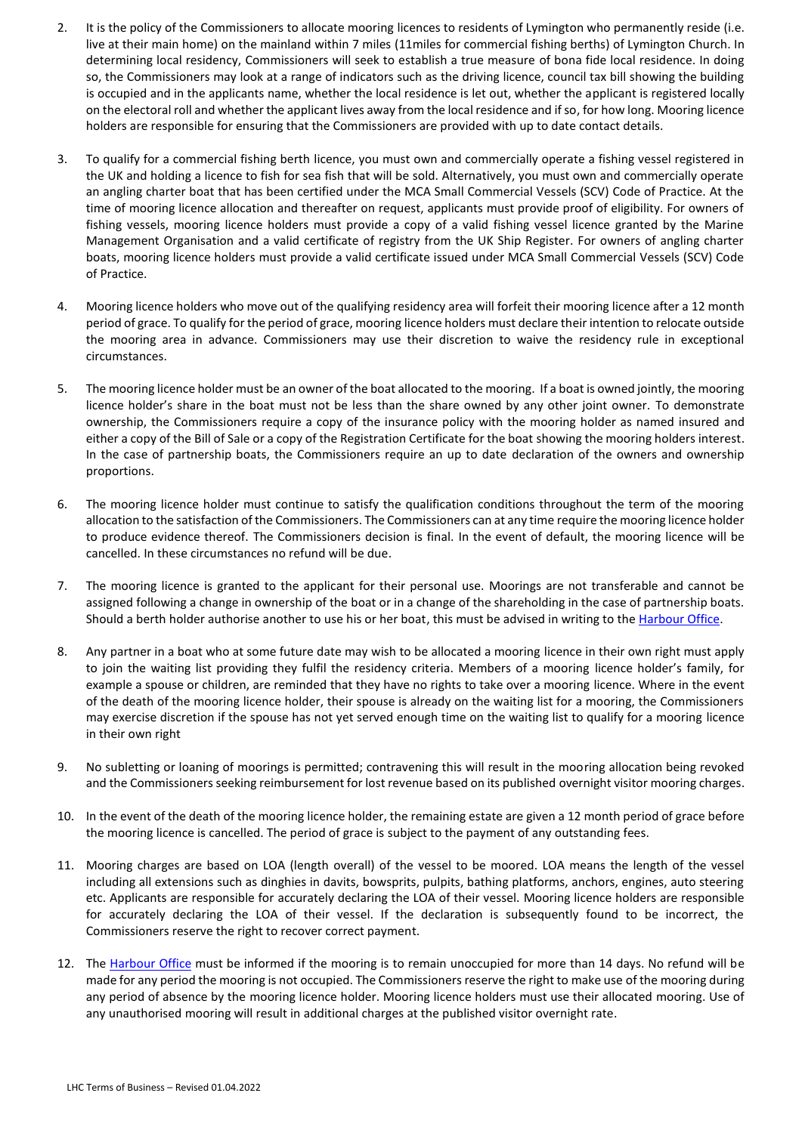- 2. It is the policy of the Commissioners to allocate mooring licences to residents of Lymington who permanently reside (i.e. live at their main home) on the mainland within 7 miles (11miles for commercial fishing berths) of Lymington Church. In determining local residency, Commissioners will seek to establish a true measure of bona fide local residence. In doing so, the Commissioners may look at a range of indicators such as the driving licence, council tax bill showing the building is occupied and in the applicants name, whether the local residence is let out, whether the applicant is registered locally on the electoral roll and whether the applicant lives away from the local residence and if so, for how long. Mooring licence holders are responsible for ensuring that the Commissioners are provided with up to date contact details.
- 3. To qualify for a commercial fishing berth licence, you must own and commercially operate a fishing vessel registered in the UK and holding a licence to fish for sea fish that will be sold. Alternatively, you must own and commercially operate an angling charter boat that has been certified under the MCA Small Commercial Vessels (SCV) Code of Practice. At the time of mooring licence allocation and thereafter on request, applicants must provide proof of eligibility. For owners of fishing vessels, mooring licence holders must provide a copy of a valid fishing vessel licence granted by the Marine Management Organisation and a valid certificate of registry from the UK Ship Register. For owners of angling charter boats, mooring licence holders must provide a valid certificate issued under MCA Small Commercial Vessels (SCV) Code of Practice.
- 4. Mooring licence holders who move out of the qualifying residency area will forfeit their mooring licence after a 12 month period of grace. To qualify for the period of grace, mooring licence holders must declare their intention to relocate outside the mooring area in advance. Commissioners may use their discretion to waive the residency rule in exceptional circumstances.
- 5. The mooring licence holder must be an owner of the boat allocated to the mooring. If a boat is owned jointly, the mooring licence holder's share in the boat must not be less than the share owned by any other joint owner. To demonstrate ownership, the Commissioners require a copy of the insurance policy with the mooring holder as named insured and either a copy of the Bill of Sale or a copy of the Registration Certificate for the boat showing the mooring holders interest. In the case of partnership boats, the Commissioners require an up to date declaration of the owners and ownership proportions.
- 6. The mooring licence holder must continue to satisfy the qualification conditions throughout the term of the mooring allocation to the satisfaction of the Commissioners. The Commissioners can at any time require the mooring licence holder to produce evidence thereof. The Commissioners decision is final. In the event of default, the mooring licence will be cancelled. In these circumstances no refund will be due.
- 7. The mooring licence is granted to the applicant for their personal use. Moorings are not transferable and cannot be assigned following a change in ownership of the boat or in a change of the shareholding in the case of partnership boats. Should a berth holder authorise another to use his or her boat, this must be advised in writing to th[e Harbour Office.](mailto:info@lymingtonharbour.co.uk?subject=Notification%20of%20Permission%20to%20Use%20Boat)
- 8. Any partner in a boat who at some future date may wish to be allocated a mooring licence in their own right must apply to join the waiting list providing they fulfil the residency criteria. Members of a mooring licence holder's family, for example a spouse or children, are reminded that they have no rights to take over a mooring licence. Where in the event of the death of the mooring licence holder, their spouse is already on the waiting list for a mooring, the Commissioners may exercise discretion if the spouse has not yet served enough time on the waiting list to qualify for a mooring licence in their own right
- 9. No subletting or loaning of moorings is permitted; contravening this will result in the mooring allocation being revoked and the Commissioners seeking reimbursement for lost revenue based on its published overnight visitor mooring charges.
- 10. In the event of the death of the mooring licence holder, the remaining estate are given a 12 month period of grace before the mooring licence is cancelled. The period of grace is subject to the payment of any outstanding fees.
- 11. Mooring charges are based on LOA (length overall) of the vessel to be moored. LOA means the length of the vessel including all extensions such as dinghies in davits, bowsprits, pulpits, bathing platforms, anchors, engines, auto steering etc. Applicants are responsible for accurately declaring the LOA of their vessel. Mooring licence holders are responsible for accurately declaring the LOA of their vessel. If the declaration is subsequently found to be incorrect, the Commissioners reserve the right to recover correct payment.
- 12. The [Harbour Office](mailto:info@lymingtonharbour.co.uk?subject=Notification%20of%20Unoccupied%20Berth) must be informed if the mooring is to remain unoccupied for more than 14 days. No refund will be made for any period the mooring is not occupied. The Commissioners reserve the right to make use of the mooring during any period of absence by the mooring licence holder. Mooring licence holders must use their allocated mooring. Use of any unauthorised mooring will result in additional charges at the published visitor overnight rate.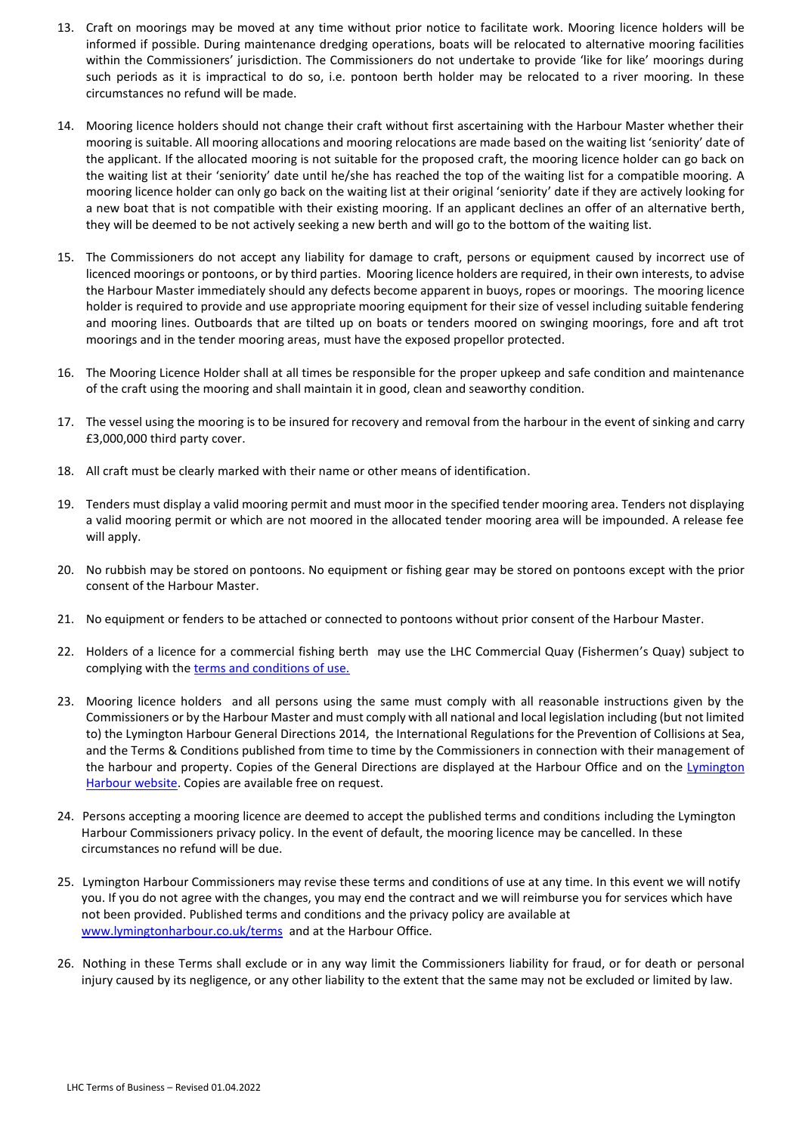- 13. Craft on moorings may be moved at any time without prior notice to facilitate work. Mooring licence holders will be informed if possible. During maintenance dredging operations, boats will be relocated to alternative mooring facilities within the Commissioners' jurisdiction. The Commissioners do not undertake to provide 'like for like' moorings during such periods as it is impractical to do so, i.e. pontoon berth holder may be relocated to a river mooring. In these circumstances no refund will be made.
- 14. Mooring licence holders should not change their craft without first ascertaining with the Harbour Master whether their mooring is suitable. All mooring allocations and mooring relocations are made based on the waiting list 'seniority' date of the applicant. If the allocated mooring is not suitable for the proposed craft, the mooring licence holder can go back on the waiting list at their 'seniority' date until he/she has reached the top of the waiting list for a compatible mooring. A mooring licence holder can only go back on the waiting list at their original 'seniority' date if they are actively looking for a new boat that is not compatible with their existing mooring. If an applicant declines an offer of an alternative berth, they will be deemed to be not actively seeking a new berth and will go to the bottom of the waiting list.
- 15. The Commissioners do not accept any liability for damage to craft, persons or equipment caused by incorrect use of licenced moorings or pontoons, or by third parties. Mooring licence holders are required, in their own interests, to advise the Harbour Master immediately should any defects become apparent in buoys, ropes or moorings. The mooring licence holder is required to provide and use appropriate mooring equipment for their size of vessel including suitable fendering and mooring lines. Outboards that are tilted up on boats or tenders moored on swinging moorings, fore and aft trot moorings and in the tender mooring areas, must have the exposed propellor protected.
- 16. The Mooring Licence Holder shall at all times be responsible for the proper upkeep and safe condition and maintenance of the craft using the mooring and shall maintain it in good, clean and seaworthy condition.
- 17. The vessel using the mooring is to be insured for recovery and removal from the harbour in the event of sinking and carry £3,000,000 third party cover.
- 18. All craft must be clearly marked with their name or other means of identification.
- 19. Tenders must display a valid mooring permit and must moor in the specified tender mooring area. Tenders not displaying a valid mooring permit or which are not moored in the allocated tender mooring area will be impounded. A release fee will apply.
- 20. No rubbish may be stored on pontoons. No equipment or fishing gear may be stored on pontoons except with the prior consent of the Harbour Master.
- 21. No equipment or fenders to be attached or connected to pontoons without prior consent of the Harbour Master.
- 22. Holders of a licence for a commercial fishing berth may use the LHC Commercial Quay (Fishermen's Quay) subject to complying with the terms and conditions of use.
- 23. Mooring licence holders and all persons using the same must comply with all reasonable instructions given by the Commissioners or by the Harbour Master and must comply with all national and local legislation including (but not limited to) the Lymington Harbour General Directions 2014, the International Regulations for the Prevention of Collisions at Sea, and the Terms & Conditions published from time to time by the Commissioners in connection with their management of the harbour and property. Copies of the General Directions are displayed at the Harbour Office and on the Lymington [Harbour website.](https://www.lymingtonharbour.co.uk/content/S636984559674606978/General%20Directions%202014%20-%20Final.pdf) Copies are available free on request.
- 24. Persons accepting a mooring licence are deemed to accept the published terms and conditions including the Lymington Harbour Commissioners privacy policy. In the event of default, the mooring licence may be cancelled. In these circumstances no refund will be due.
- 25. Lymington Harbour Commissioners may revise these terms and conditions of use at any time. In this event we will notify you. If you do not agree with the changes, you may end the contract and we will reimburse you for services which have not been provided. Published terms and conditions and the privacy policy are available at [www.lymingtonharbour.co.uk/terms](http://www.lymingtonharbour.co.uk/terms) and at the Harbour Office.
- <span id="page-3-0"></span>26. Nothing in these Terms shall exclude or in any way limit the Commissioners liability for fraud, or for death or personal injury caused by its negligence, or any other liability to the extent that the same may not be excluded or limited by law.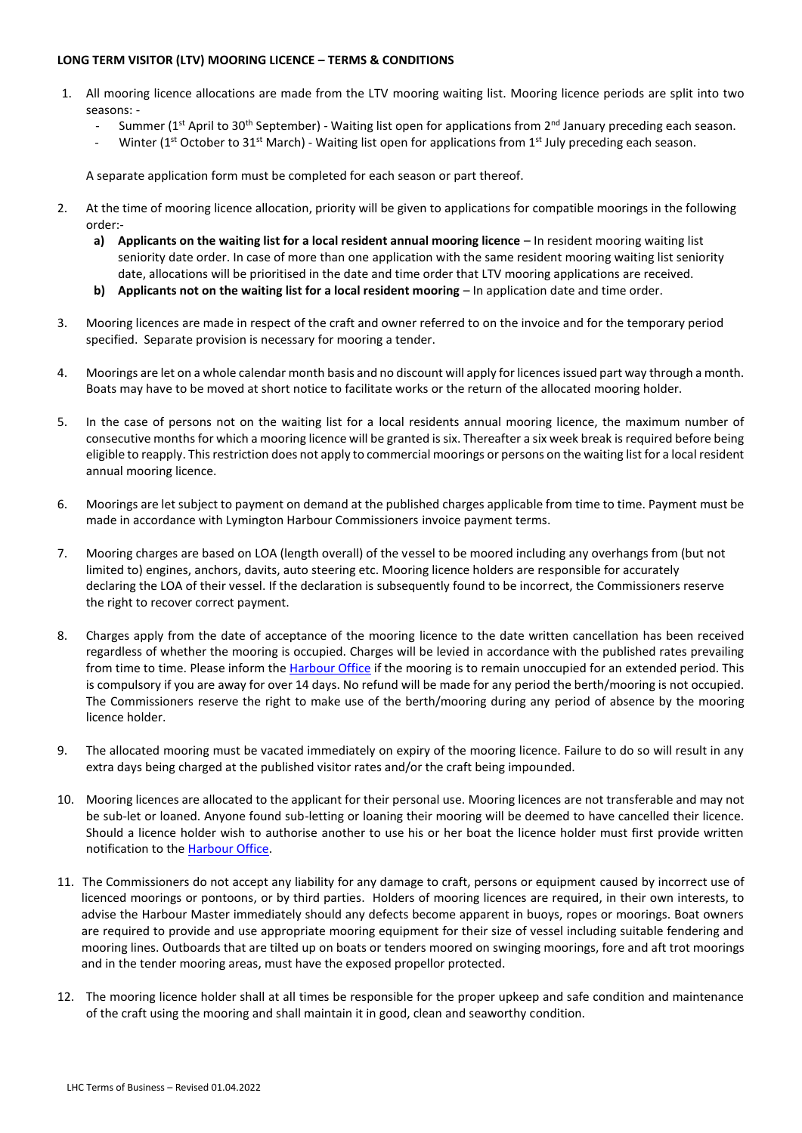## **LONG TERM VISITOR (LTV) MOORING LICENCE – TERMS & CONDITIONS**

- 1. All mooring licence allocations are made from the LTV mooring waiting list. Mooring licence periods are split into two seasons: -
	- Summer ( $1<sup>st</sup>$  April to 30<sup>th</sup> September) Waiting list open for applications from  $2<sup>nd</sup>$  January preceding each season.
	- Winter (1st October to 31st March) Waiting list open for applications from 1st July preceding each season.

A separate application form must be completed for each season or part thereof.

- 2. At the time of mooring licence allocation, priority will be given to applications for compatible moorings in the following order:
	- **a) Applicants on the waiting list for a local resident annual mooring licence** In resident mooring waiting list seniority date order. In case of more than one application with the same resident mooring waiting list seniority date, allocations will be prioritised in the date and time order that LTV mooring applications are received.
	- **b) Applicants not on the waiting list for a local resident mooring** In application date and time order.
- 3. Mooring licences are made in respect of the craft and owner referred to on the invoice and for the temporary period specified. Separate provision is necessary for mooring a tender.
- 4. Moorings are let on a whole calendar month basis and no discount will apply for licences issued part way through a month. Boats may have to be moved at short notice to facilitate works or the return of the allocated mooring holder.
- 5. In the case of persons not on the waiting list for a local residents annual mooring licence, the maximum number of consecutive months for which a mooring licence will be granted is six. Thereafter a six week break is required before being eligible to reapply. This restriction does not apply to commercial moorings or persons on the waiting list for a local resident annual mooring licence.
- 6. Moorings are let subject to payment on demand at the published charges applicable from time to time. Payment must be made in accordance with Lymington Harbour Commissioners invoice payment terms.
- 7. Mooring charges are based on LOA (length overall) of the vessel to be moored including any overhangs from (but not limited to) engines, anchors, davits, auto steering etc. Mooring licence holders are responsible for accurately declaring the LOA of their vessel. If the declaration is subsequently found to be incorrect, the Commissioners reserve the right to recover correct payment.
- 8. Charges apply from the date of acceptance of the mooring licence to the date written cancellation has been received regardless of whether the mooring is occupied. Charges will be levied in accordance with the published rates prevailing from time to time. Please inform the *Harbour Office* if the mooring is to remain unoccupied for an extended period. This is compulsory if you are away for over 14 days. No refund will be made for any period the berth/mooring is not occupied. The Commissioners reserve the right to make use of the berth/mooring during any period of absence by the mooring licence holder.
- 9. The allocated mooring must be vacated immediately on expiry of the mooring licence. Failure to do so will result in any extra days being charged at the published visitor rates and/or the craft being impounded.
- 10. Mooring licences are allocated to the applicant for their personal use. Mooring licences are not transferable and may not be sub-let or loaned. Anyone found sub-letting or loaning their mooring will be deemed to have cancelled their licence. Should a licence holder wish to authorise another to use his or her boat the licence holder must first provide written notification to th[e Harbour Office.](mailto:info@lymingtonharbour.co.uk?subject=Authorisation%20for%20Third%20Party%20to%20Use%20Owners%20Boat%20moored%20on%20a%20Temporary%20Berth)
- 11. The Commissioners do not accept any liability for any damage to craft, persons or equipment caused by incorrect use of licenced moorings or pontoons, or by third parties. Holders of mooring licences are required, in their own interests, to advise the Harbour Master immediately should any defects become apparent in buoys, ropes or moorings. Boat owners are required to provide and use appropriate mooring equipment for their size of vessel including suitable fendering and mooring lines. Outboards that are tilted up on boats or tenders moored on swinging moorings, fore and aft trot moorings and in the tender mooring areas, must have the exposed propellor protected.
- 12. The mooring licence holder shall at all times be responsible for the proper upkeep and safe condition and maintenance of the craft using the mooring and shall maintain it in good, clean and seaworthy condition.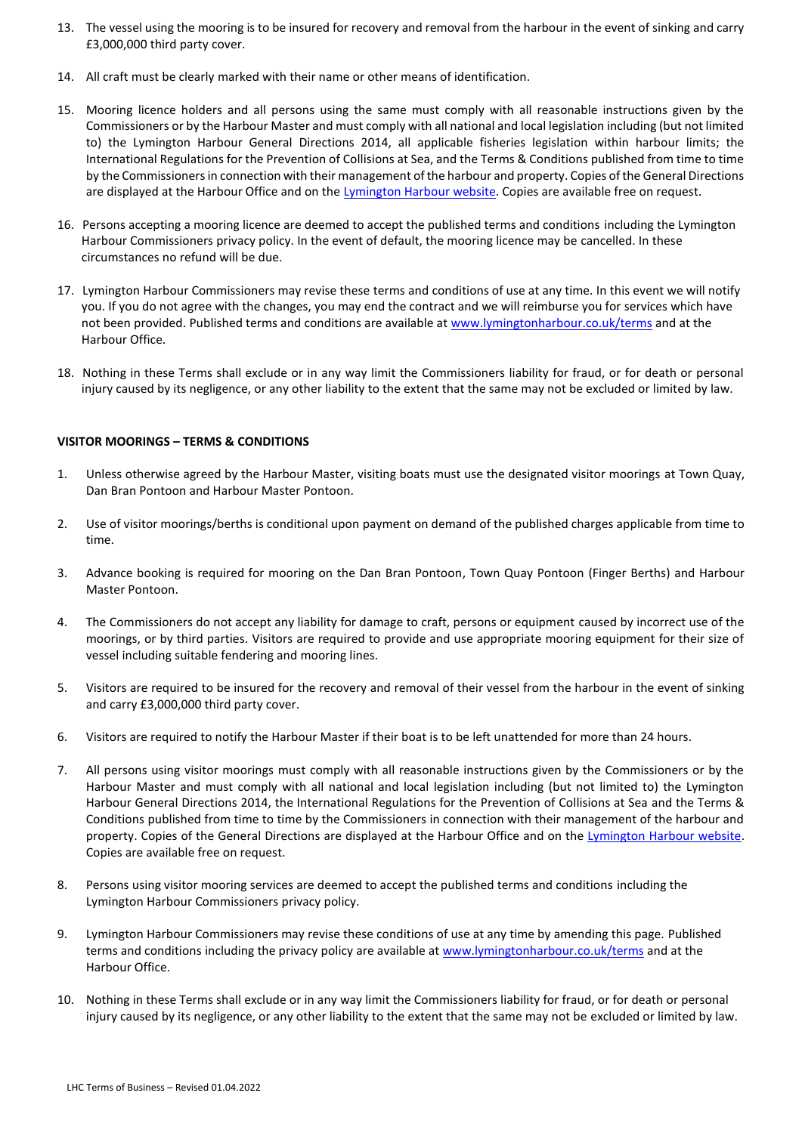- 13. The vessel using the mooring is to be insured for recovery and removal from the harbour in the event of sinking and carry £3,000,000 third party cover.
- 14. All craft must be clearly marked with their name or other means of identification.
- 15. Mooring licence holders and all persons using the same must comply with all reasonable instructions given by the Commissioners or by the Harbour Master and must comply with all national and local legislation including (but not limited to) the Lymington Harbour General Directions 2014, all applicable fisheries legislation within harbour limits; the International Regulations for the Prevention of Collisions at Sea, and the Terms & Conditions published from time to time by the Commissioners in connection with their management of the harbour and property. Copies of the General Directions are displayed at the Harbour Office and on the [Lymington Harbour website.](https://www.lymingtonharbour.co.uk/content/S636984559674606978/General%20Directions%202014%20-%20Final.pdf) Copies are available free on request.
- 16. Persons accepting a mooring licence are deemed to accept the published terms and conditions including the Lymington Harbour Commissioners privacy policy. In the event of default, the mooring licence may be cancelled. In these circumstances no refund will be due.
- 17. Lymington Harbour Commissioners may revise these terms and conditions of use at any time. In this event we will notify you. If you do not agree with the changes, you may end the contract and we will reimburse you for services which have not been provided. Published terms and conditions are available at [www.lymingtonharbour.co.uk/terms](http://www.lymingtonharbour.co.uk/terms) and at the Harbour Office.
- 18. Nothing in these Terms shall exclude or in any way limit the Commissioners liability for fraud, or for death or personal injury caused by its negligence, or any other liability to the extent that the same may not be excluded or limited by law.

#### **VISITOR MOORINGS – TERMS & CONDITIONS**

- 1. Unless otherwise agreed by the Harbour Master, visiting boats must use the designated visitor moorings at Town Quay, Dan Bran Pontoon and Harbour Master Pontoon.
- 2. Use of visitor moorings/berths is conditional upon payment on demand of the published charges applicable from time to time.
- 3. Advance booking is required for mooring on the Dan Bran Pontoon, Town Quay Pontoon (Finger Berths) and Harbour Master Pontoon.
- 4. The Commissioners do not accept any liability for damage to craft, persons or equipment caused by incorrect use of the moorings, or by third parties. Visitors are required to provide and use appropriate mooring equipment for their size of vessel including suitable fendering and mooring lines.
- 5. Visitors are required to be insured for the recovery and removal of their vessel from the harbour in the event of sinking and carry £3,000,000 third party cover.
- 6. Visitors are required to notify the Harbour Master if their boat is to be left unattended for more than 24 hours.
- 7. All persons using visitor moorings must comply with all reasonable instructions given by the Commissioners or by the Harbour Master and must comply with all national and local legislation including (but not limited to) the Lymington Harbour General Directions 2014, the International Regulations for the Prevention of Collisions at Sea and the Terms & Conditions published from time to time by the Commissioners in connection with their management of the harbour and property. Copies of the General Directions are displayed at the Harbour Office and on the Lymington Harbour website. Copies are available free on request.
- 8. Persons using visitor mooring services are deemed to accept the published terms and conditions including the Lymington Harbour Commissioners privacy policy.
- 9. Lymington Harbour Commissioners may revise these conditions of use at any time by amending this page. Published terms and conditions including the privacy policy are available a[t www.lymingtonharbour.co.uk/terms](http://www.lymingtonharbour.co.uk/terms) and at the Harbour Office.
- <span id="page-5-0"></span>10. Nothing in these Terms shall exclude or in any way limit the Commissioners liability for fraud, or for death or personal injury caused by its negligence, or any other liability to the extent that the same may not be excluded or limited by law.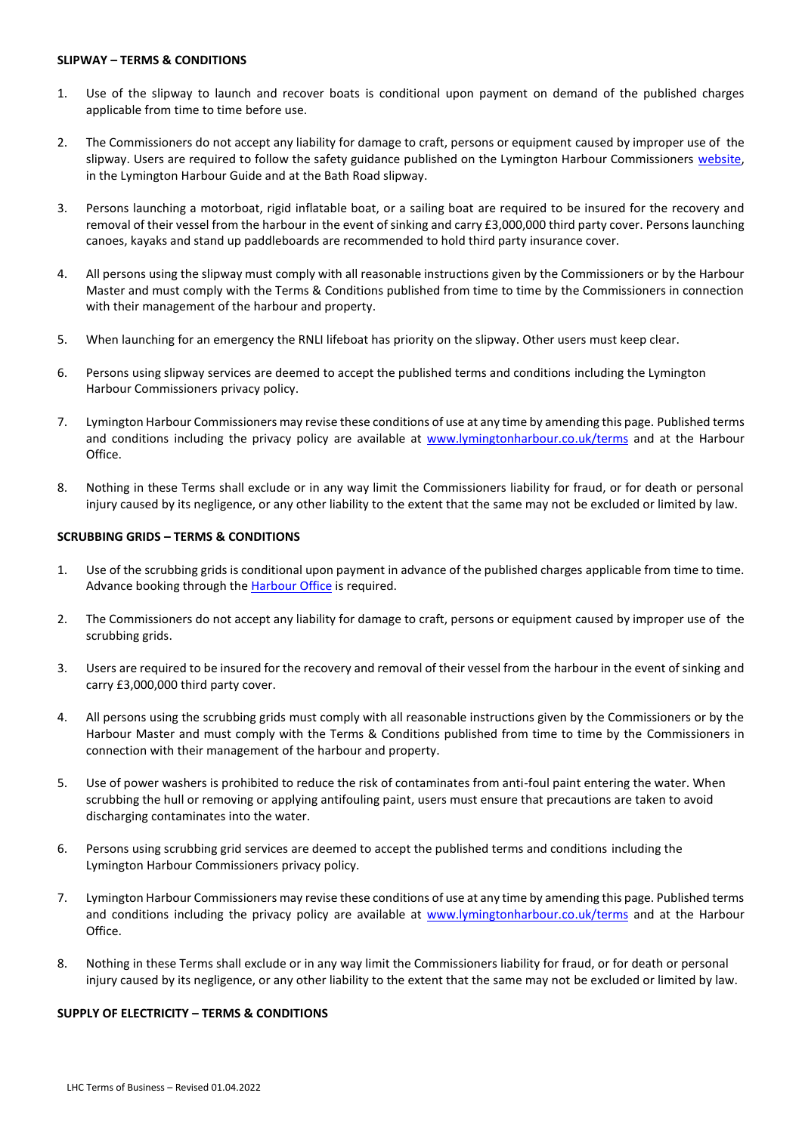#### **SLIPWAY – TERMS & CONDITIONS**

- 1. Use of the slipway to launch and recover boats is conditional upon payment on demand of the published charges applicable from time to time before use.
- 2. The Commissioners do not accept any liability for damage to craft, persons or equipment caused by improper use of the slipway. Users are required to follow the safety guidance published on the Lymington Harbour Commissioners website, in the Lymington Harbour Guide and at the Bath Road slipway.
- 3. Persons launching a motorboat, rigid inflatable boat, or a sailing boat are required to be insured for the recovery and removal of their vessel from the harbour in the event of sinking and carry £3,000,000 third party cover. Persons launching canoes, kayaks and stand up paddleboards are recommended to hold third party insurance cover.
- 4. All persons using the slipway must comply with all reasonable instructions given by the Commissioners or by the Harbour Master and must comply with the Terms & Conditions published from time to time by the Commissioners in connection with their management of the harbour and property.
- 5. When launching for an emergency the RNLI lifeboat has priority on the slipway. Other users must keep clear.
- 6. Persons using slipway services are deemed to accept the published terms and conditions including the Lymington Harbour Commissioners privacy policy.
- 7. Lymington Harbour Commissioners may revise these conditions of use at any time by amending this page. Published terms and conditions including the privacy policy are available at [www.lymingtonharbour.co.uk/terms](http://www.lymingtonharbour.co.uk/terms) and at the Harbour Office.
- 8. Nothing in these Terms shall exclude or in any way limit the Commissioners liability for fraud, or for death or personal injury caused by its negligence, or any other liability to the extent that the same may not be excluded or limited by law.

## <span id="page-6-0"></span>**SCRUBBING GRIDS – TERMS & CONDITIONS**

- 1. Use of the scrubbing grids is conditional upon payment in advance of the published charges applicable from time to time. Advance booking through the **Harbour Office** is required.
- 2. The Commissioners do not accept any liability for damage to craft, persons or equipment caused by improper use of the scrubbing grids.
- 3. Users are required to be insured for the recovery and removal of their vessel from the harbour in the event of sinking and carry £3,000,000 third party cover.
- 4. All persons using the scrubbing grids must comply with all reasonable instructions given by the Commissioners or by the Harbour Master and must comply with the Terms & Conditions published from time to time by the Commissioners in connection with their management of the harbour and property.
- 5. Use of power washers is prohibited to reduce the risk of contaminates from anti-foul paint entering the water. When scrubbing the hull or removing or applying antifouling paint, users must ensure that precautions are taken to avoid discharging contaminates into the water.
- 6. Persons using scrubbing grid services are deemed to accept the published terms and conditions including the Lymington Harbour Commissioners privacy policy.
- 7. Lymington Harbour Commissioners may revise these conditions of use at any time by amending this page. Published terms and conditions including the privacy policy are available at [www.lymingtonharbour.co.uk/terms](http://www.lymingtonharbour.co.uk/terms) and at the Harbour Office.
- 8. Nothing in these Terms shall exclude or in any way limit the Commissioners liability for fraud, or for death or personal injury caused by its negligence, or any other liability to the extent that the same may not be excluded or limited by law.

## <span id="page-6-1"></span>**SUPPLY OF ELECTRICITY – TERMS & CONDITIONS**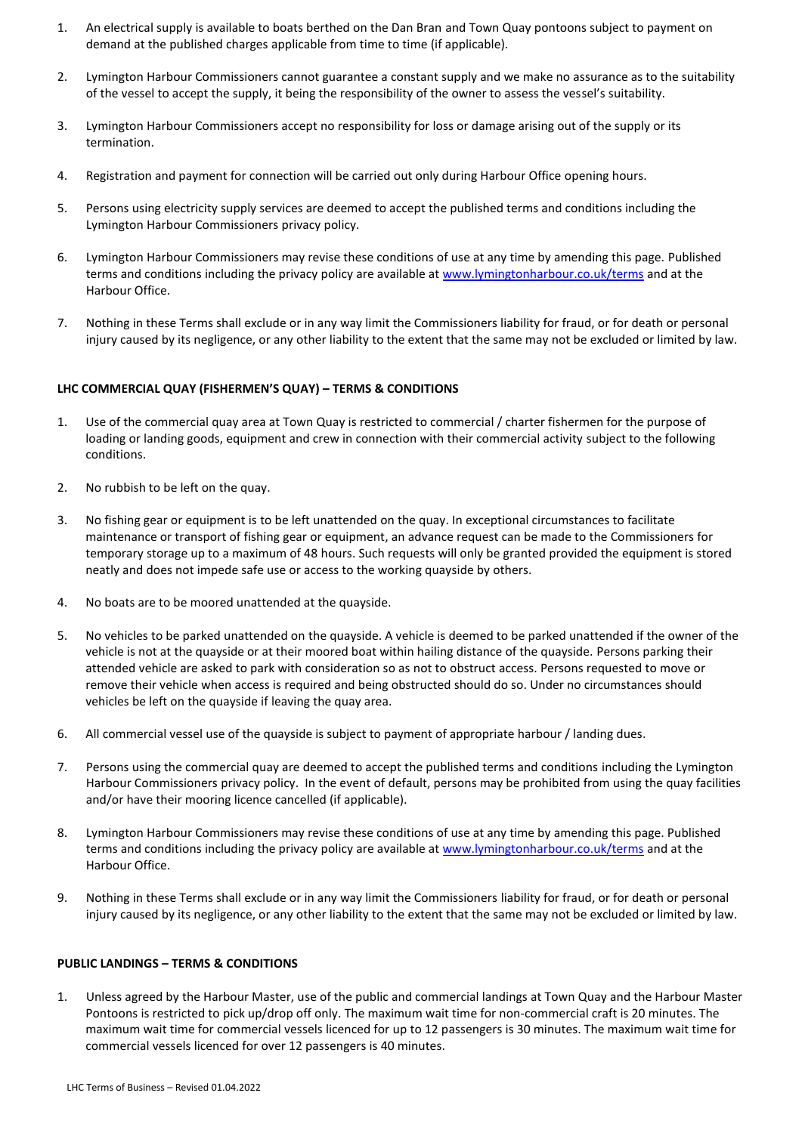- 1. An electrical supply is available to boats berthed on the Dan Bran and Town Quay pontoons subject to payment on demand at the published charges applicable from time to time (if applicable).
- 2. Lymington Harbour Commissioners cannot guarantee a constant supply and we make no assurance as to the suitability of the vessel to accept the supply, it being the responsibility of the owner to assess the vessel's suitability.
- 3. Lymington Harbour Commissioners accept no responsibility for loss or damage arising out of the supply or its termination.
- 4. Registration and payment for connection will be carried out only during Harbour Office opening hours.
- 5. Persons using electricity supply services are deemed to accept the published terms and conditions including the Lymington Harbour Commissioners privacy policy.
- 6. Lymington Harbour Commissioners may revise these conditions of use at any time by amending this page. Published terms and conditions including the privacy policy are available a[t www.lymingtonharbour.co.uk/terms](http://www.lymingtonharbour.co.uk/terms) and at the Harbour Office.
- 7. Nothing in these Terms shall exclude or in any way limit the Commissioners liability for fraud, or for death or personal injury caused by its negligence, or any other liability to the extent that the same may not be excluded or limited by law.

#### <span id="page-7-0"></span>**LHC [COMMERCIAL QUAY \(FISHERMEN'S QUAY\)](file:///C:/Users/river1/Documents/Mooring%20Committee/2013/December%20Meeting/LHC%20TERMS%20OF%20BUSINESS%20-%20AMENDMENTS.docx) – TERMS & CONDITIONS**

- 1. Use of the commercial quay area at Town Quay is restricted to commercial / charter fishermen for the purpose of loading or landing goods, equipment and crew in connection with their commercial activity subject to the following conditions.
- 2. No rubbish to be left on the quay.
- 3. No fishing gear or equipment is to be left unattended on the quay. In exceptional circumstances to facilitate maintenance or transport of fishing gear or equipment, an advance request can be made to the Commissioners for temporary storage up to a maximum of 48 hours. Such requests will only be granted provided the equipment is stored neatly and does not impede safe use or access to the working quayside by others.
- 4. No boats are to be moored unattended at the quayside.
- 5. No vehicles to be parked unattended on the quayside. A vehicle is deemed to be parked unattended if the owner of the vehicle is not at the quayside or at their moored boat within hailing distance of the quayside. Persons parking their attended vehicle are asked to park with consideration so as not to obstruct access. Persons requested to move or remove their vehicle when access is required and being obstructed should do so. Under no circumstances should vehicles be left on the quayside if leaving the quay area.
- 6. All commercial vessel use of the quayside is subject to payment of appropriate harbour / landing dues.
- 7. Persons using the commercial quay are deemed to accept the published terms and conditions including the Lymington Harbour Commissioners privacy policy. In the event of default, persons may be prohibited from using the quay facilities and/or have their mooring licence cancelled (if applicable).
- 8. Lymington Harbour Commissioners may revise these conditions of use at any time by amending this page. Published terms and conditions including the privacy policy are available a[t www.lymingtonharbour.co.uk/terms](http://www.lymingtonharbour.co.uk/terms) and at the Harbour Office.
- 9. Nothing in these Terms shall exclude or in any way limit the Commissioners liability for fraud, or for death or personal injury caused by its negligence, or any other liability to the extent that the same may not be excluded or limited by law.

#### **PUBLIC LANDINGS – TERMS & CONDITIONS**

1. Unless agreed by the Harbour Master, use of the public and commercial landings at Town Quay and the Harbour Master Pontoons is restricted to pick up/drop off only. The maximum wait time for non-commercial craft is 20 minutes. The maximum wait time for commercial vessels licenced for up to 12 passengers is 30 minutes. The maximum wait time for commercial vessels licenced for over 12 passengers is 40 minutes.